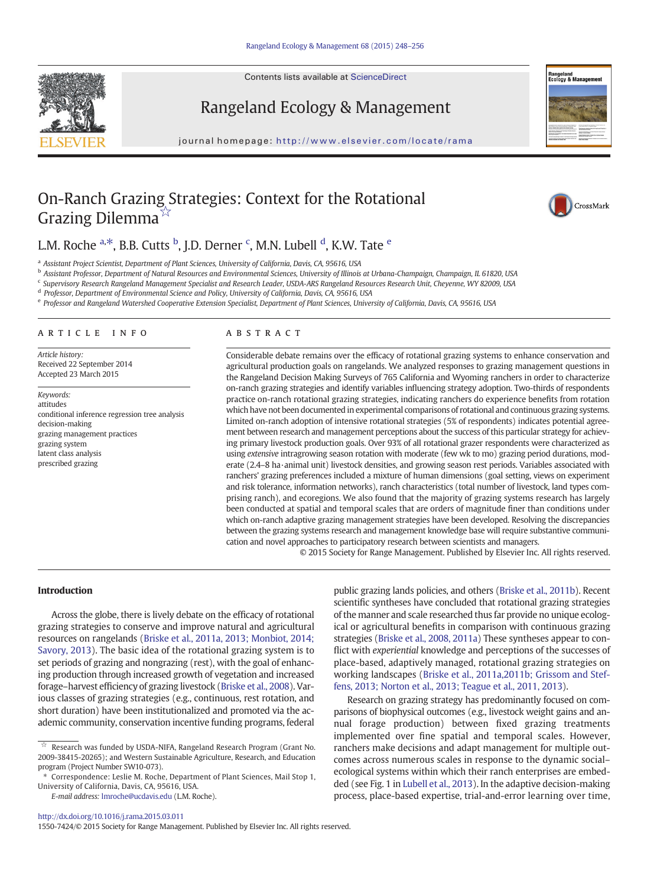Contents lists available at ScienceDirect





journal homepage: <http://www.elsevier.com/locate/rama>



# On-Ranch Grazing Strategies: Context for the Rotational Grazing Dilemma<sup>☆</sup>



# L.M. Roche <sup>a,\*</sup>, B.B. Cutts <sup>b</sup>, J.D. Derner <sup>c</sup>, M.N. Lubell <sup>d</sup>, K.W. Tate <sup>e</sup>

a Assistant Project Scientist, Department of Plant Sciences, University of California, Davis, CA, 95616, USA

<sup>b</sup> Assistant Professor, Department of Natural Resources and Environmental Sciences, University of Illinois at Urbana-Champaign, Champaign, IL 61820, USA

<sup>c</sup> Supervisory Research Rangeland Management Specialist and Research Leader, USDA-ARS Rangeland Resources Research Unit, Cheyenne, WY 82009, USA

<sup>d</sup> Professor, Department of Environmental Science and Policy, University of California, Davis, CA, 95616, USA

e Professor and Rangeland Watershed Cooperative Extension Specialist, Department of Plant Sciences, University of California, Davis, CA, 95616, USA

# article info abstract

Article history: Received 22 September 2014 Accepted 23 March 2015

Keywords: attitudes conditional inference regression tree analysis decision-making grazing management practices grazing system latent class analysis prescribed grazing

Considerable debate remains over the efficacy of rotational grazing systems to enhance conservation and agricultural production goals on rangelands. We analyzed responses to grazing management questions in the Rangeland Decision Making Surveys of 765 California and Wyoming ranchers in order to characterize on-ranch grazing strategies and identify variables influencing strategy adoption. Two-thirds of respondents practice on-ranch rotational grazing strategies, indicating ranchers do experience benefits from rotation which have not been documented in experimental comparisons of rotational and continuous grazing systems. Limited on-ranch adoption of intensive rotational strategies (5% of respondents) indicates potential agreement between research and management perceptions about the success of this particular strategy for achieving primary livestock production goals. Over 93% of all rotational grazer respondents were characterized as using extensive intragrowing season rotation with moderate (few wk to mo) grazing period durations, moderate (2.4–8 ha·animal unit) livestock densities, and growing season rest periods. Variables associated with ranchers' grazing preferences included a mixture of human dimensions (goal setting, views on experiment and risk tolerance, information networks), ranch characteristics (total number of livestock, land types comprising ranch), and ecoregions. We also found that the majority of grazing systems research has largely been conducted at spatial and temporal scales that are orders of magnitude finer than conditions under which on-ranch adaptive grazing management strategies have been developed. Resolving the discrepancies between the grazing systems research and management knowledge base will require substantive communication and novel approaches to participatory research between scientists and managers.

© 2015 Society for Range Management. Published by Elsevier Inc. All rights reserved.

# Introduction

Across the globe, there is lively debate on the efficacy of rotational grazing strategies to conserve and improve natural and agricultural resources on rangelands ([Briske et al., 2011a, 2013; Monbiot, 2014;](#page-8-0) [Savory, 2013\)](#page-8-0). The basic idea of the rotational grazing system is to set periods of grazing and nongrazing (rest), with the goal of enhancing production through increased growth of vegetation and increased forage–harvest efficiency of grazing livestock [\(Briske et al., 2008\)](#page-8-0). Various classes of grazing strategies (e.g., continuous, rest rotation, and short duration) have been institutionalized and promoted via the academic community, conservation incentive funding programs, federal

E-mail address: [lmroche@ucdavis.edu](mailto:lmroche@ucdavis.edu) (L.M. Roche).

public grazing lands policies, and others [\(Briske et al., 2011b\)](#page-8-0). Recent scientific syntheses have concluded that rotational grazing strategies of the manner and scale researched thus far provide no unique ecological or agricultural benefits in comparison with continuous grazing strategies [\(Briske et al., 2008, 2011a\)](#page-8-0) These syntheses appear to conflict with experiential knowledge and perceptions of the successes of place-based, adaptively managed, rotational grazing strategies on working landscapes ([Briske et al., 2011a,2011b; Grissom and Stef](#page-8-0)[fens, 2013; Norton et al., 2013; Teague et al., 2011, 2013](#page-8-0)).

Research on grazing strategy has predominantly focused on comparisons of biophysical outcomes (e.g., livestock weight gains and annual forage production) between fixed grazing treatments implemented over fine spatial and temporal scales. However, ranchers make decisions and adapt management for multiple outcomes across numerous scales in response to the dynamic social– ecological systems within which their ranch enterprises are embedded (see Fig. 1 in [Lubell et al., 2013\)](#page-8-0). In the adaptive decision-making process, place-based expertise, trial-and-error learning over time,

1550-7424/© 2015 Society for Range Management. Published by Elsevier Inc. All rights reserved.

 $\overrightarrow{x}$  Research was funded by USDA-NIFA, Rangeland Research Program (Grant No. 2009-38415-20265); and Western Sustainable Agriculture, Research, and Education program (Project Number SW10-073).

<sup>⁎</sup> Correspondence: Leslie M. Roche, Department of Plant Sciences, Mail Stop 1, University of California, Davis, CA, 95616, USA.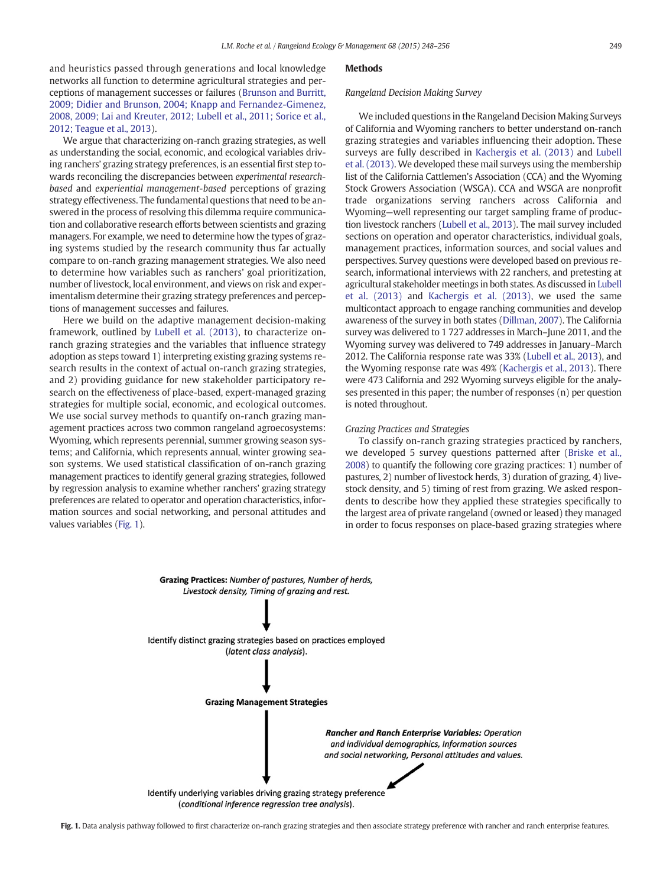<span id="page-1-0"></span>and heuristics passed through generations and local knowledge networks all function to determine agricultural strategies and perceptions of management successes or failures ([Brunson and Burritt,](#page-8-0) [2009; Didier and Brunson, 2004; Knapp and Fernandez-Gimenez,](#page-8-0) [2008, 2009; Lai and Kreuter, 2012; Lubell et al., 2011; Sorice et al.,](#page-8-0) [2012; Teague et al., 2013\)](#page-8-0).

We argue that characterizing on-ranch grazing strategies, as well as understanding the social, economic, and ecological variables driving ranchers' grazing strategy preferences, is an essential first step towards reconciling the discrepancies between experimental researchbased and experiential management-based perceptions of grazing strategy effectiveness. The fundamental questions that need to be answered in the process of resolving this dilemma require communication and collaborative research efforts between scientists and grazing managers. For example, we need to determine how the types of grazing systems studied by the research community thus far actually compare to on-ranch grazing management strategies. We also need to determine how variables such as ranchers' goal prioritization, number of livestock, local environment, and views on risk and experimentalism determine their grazing strategy preferences and perceptions of management successes and failures.

Here we build on the adaptive management decision-making framework, outlined by [Lubell et al. \(2013\)](#page-8-0), to characterize onranch grazing strategies and the variables that influence strategy adoption as steps toward 1) interpreting existing grazing systems research results in the context of actual on-ranch grazing strategies, and 2) providing guidance for new stakeholder participatory research on the effectiveness of place-based, expert-managed grazing strategies for multiple social, economic, and ecological outcomes. We use social survey methods to quantify on-ranch grazing management practices across two common rangeland agroecosystems: Wyoming, which represents perennial, summer growing season systems; and California, which represents annual, winter growing season systems. We used statistical classification of on-ranch grazing management practices to identify general grazing strategies, followed by regression analysis to examine whether ranchers' grazing strategy preferences are related to operator and operation characteristics, information sources and social networking, and personal attitudes and values variables (Fig. 1).

# Methods

# Rangeland Decision Making Survey

We included questions in the Rangeland Decision Making Surveys of California and Wyoming ranchers to better understand on-ranch grazing strategies and variables influencing their adoption. These surveys are fully described in [Kachergis et al. \(2013\)](#page-8-0) and [Lubell](#page-8-0) [et al. \(2013\)](#page-8-0). We developed these mail surveys using the membership list of the California Cattlemen's Association (CCA) and the Wyoming Stock Growers Association (WSGA). CCA and WSGA are nonprofit trade organizations serving ranchers across California and Wyoming—well representing our target sampling frame of production livestock ranchers [\(Lubell et al., 2013](#page-8-0)). The mail survey included sections on operation and operator characteristics, individual goals, management practices, information sources, and social values and perspectives. Survey questions were developed based on previous research, informational interviews with 22 ranchers, and pretesting at agricultural stakeholder meetings in both states. As discussed in [Lubell](#page-8-0) [et al. \(2013\)](#page-8-0) and [Kachergis et al. \(2013\),](#page-8-0) we used the same multicontact approach to engage ranching communities and develop awareness of the survey in both states [\(Dillman, 2007\)](#page-8-0). The California survey was delivered to 1 727 addresses in March–June 2011, and the Wyoming survey was delivered to 749 addresses in January–March 2012. The California response rate was 33% [\(Lubell et al., 2013](#page-8-0)), and the Wyoming response rate was 49% [\(Kachergis et al., 2013](#page-8-0)). There were 473 California and 292 Wyoming surveys eligible for the analyses presented in this paper; the number of responses (n) per question is noted throughout.

# Grazing Practices and Strategies

To classify on-ranch grazing strategies practiced by ranchers, we developed 5 survey questions patterned after [\(Briske et al.,](#page-8-0) [2008](#page-8-0)) to quantify the following core grazing practices: 1) number of pastures, 2) number of livestock herds, 3) duration of grazing, 4) livestock density, and 5) timing of rest from grazing. We asked respondents to describe how they applied these strategies specifically to the largest area of private rangeland (owned or leased) they managed in order to focus responses on place-based grazing strategies where



Fig. 1. Data analysis pathway followed to first characterize on-ranch grazing strategies and then associate strategy preference with rancher and ranch enterprise features.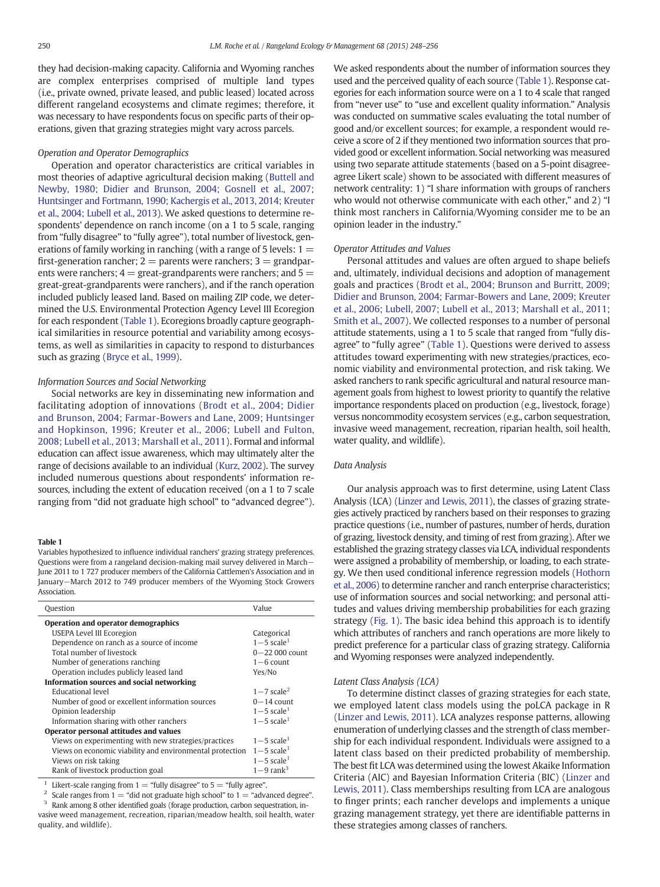<span id="page-2-0"></span>they had decision-making capacity. California and Wyoming ranches are complex enterprises comprised of multiple land types (i.e., private owned, private leased, and public leased) located across different rangeland ecosystems and climate regimes; therefore, it was necessary to have respondents focus on specific parts of their operations, given that grazing strategies might vary across parcels.

# Operation and Operator Demographics

Operation and operator characteristics are critical variables in most theories of adaptive agricultural decision making [\(Buttell and](#page-8-0) [Newby, 1980; Didier and Brunson, 2004; Gosnell et al., 2007;](#page-8-0) [Huntsinger and Fortmann, 1990; Kachergis et al., 2013, 2014; Kreuter](#page-8-0) [et al., 2004; Lubell et al., 2013](#page-8-0)). We asked questions to determine respondents' dependence on ranch income (on a 1 to 5 scale, ranging from "fully disagree" to "fully agree"), total number of livestock, generations of family working in ranching (with a range of 5 levels:  $1 =$ first-generation rancher;  $2 =$  parents were ranchers;  $3 =$  grandparents were ranchers;  $4 =$  great-grandparents were ranchers; and  $5 =$ great-great-grandparents were ranchers), and if the ranch operation included publicly leased land. Based on mailing ZIP code, we determined the U.S. Environmental Protection Agency Level III Ecoregion for each respondent (Table 1). Ecoregions broadly capture geographical similarities in resource potential and variability among ecosystems, as well as similarities in capacity to respond to disturbances such as grazing [\(Bryce et al., 1999](#page-8-0)).

#### Information Sources and Social Networking

Social networks are key in disseminating new information and facilitating adoption of innovations [\(Brodt et al., 2004; Didier](#page-8-0) [and Brunson, 2004; Farmar-Bowers and Lane, 2009; Huntsinger](#page-8-0) [and Hopkinson, 1996; Kreuter et al., 2006; Lubell and Fulton,](#page-8-0) [2008; Lubell et al., 2013; Marshall et al., 2011](#page-8-0)). Formal and informal education can affect issue awareness, which may ultimately alter the range of decisions available to an individual [\(Kurz, 2002\)](#page-8-0). The survey included numerous questions about respondents' information resources, including the extent of education received (on a 1 to 7 scale ranging from "did not graduate high school" to "advanced degree").

## Table 1

Variables hypothesized to influence individual ranchers' grazing strategy preferences. Questions were from a rangeland decision-making mail survey delivered in March− June 2011 to 1 727 producer members of the California Cattlemen's Association and in January−March 2012 to 749 producer members of the Wyoming Stock Growers Association.

| Question                                                 | Value                      |
|----------------------------------------------------------|----------------------------|
| Operation and operator demographics                      |                            |
| <b>USEPA Level III Ecoregion</b>                         | Categorical                |
| Dependence on ranch as a source of income                | $1-5$ scale <sup>1</sup>   |
| Total number of livestock                                | $0-22000$ count            |
| Number of generations ranching                           | $1 - 6$ count              |
| Operation includes publicly leased land                  | Yes/No                     |
| Information sources and social networking                |                            |
| <b>Educational level</b>                                 | $1-7$ scale <sup>2</sup>   |
| Number of good or excellent information sources          | $0-14$ count               |
| Opinion leadership                                       | $1 - 5$ scale <sup>1</sup> |
| Information sharing with other ranchers                  | $1-5$ scale <sup>1</sup>   |
| Operator personal attitudes and values                   |                            |
| Views on experimenting with new strategies/practices     | $1-5$ scale <sup>1</sup>   |
| Views on economic viability and environmental protection | $1-5$ scale <sup>1</sup>   |
| Views on risk taking                                     | $1 - 5$ scale <sup>1</sup> |
| Rank of livestock production goal                        | $1-9$ rank <sup>3</sup>    |
|                                                          |                            |

Likert-scale ranging from  $1$  = "fully disagree" to  $5$  = "fully agree".

<sup>2</sup> Scale ranges from  $1 =$  "did not graduate high school" to  $1 =$  "advanced degree". Rank among 8 other identified goals (forage production, carbon sequestration, invasive weed management, recreation, riparian/meadow health, soil health, water quality, and wildlife).

We asked respondents about the number of information sources they used and the perceived quality of each source (Table 1). Response categories for each information source were on a 1 to 4 scale that ranged from "never use" to "use and excellent quality information." Analysis was conducted on summative scales evaluating the total number of good and/or excellent sources; for example, a respondent would receive a score of 2 if they mentioned two information sources that provided good or excellent information. Social networking was measured using two separate attitude statements (based on a 5-point disagreeagree Likert scale) shown to be associated with different measures of network centrality: 1) "I share information with groups of ranchers who would not otherwise communicate with each other," and 2) "I think most ranchers in California/Wyoming consider me to be an opinion leader in the industry."

# Operator Attitudes and Values

Personal attitudes and values are often argued to shape beliefs and, ultimately, individual decisions and adoption of management goals and practices ([Brodt et al., 2004; Brunson and Burritt, 2009;](#page-8-0) [Didier and Brunson, 2004; Farmar-Bowers and Lane, 2009; Kreuter](#page-8-0) [et al., 2006; Lubell, 2007; Lubell et al., 2013; Marshall et al., 2011;](#page-8-0) [Smith et al., 2007\)](#page-8-0). We collected responses to a number of personal attitude statements, using a 1 to 5 scale that ranged from "fully disagree" to "fully agree" (Table 1). Questions were derived to assess attitudes toward experimenting with new strategies/practices, economic viability and environmental protection, and risk taking. We asked ranchers to rank specific agricultural and natural resource management goals from highest to lowest priority to quantify the relative importance respondents placed on production (e.g., livestock, forage) versus noncommodity ecosystem services (e.g., carbon sequestration, invasive weed management, recreation, riparian health, soil health, water quality, and wildlife).

# Data Analysis

Our analysis approach was to first determine, using Latent Class Analysis (LCA) ([Linzer and Lewis, 2011](#page-8-0)), the classes of grazing strategies actively practiced by ranchers based on their responses to grazing practice questions (i.e., number of pastures, number of herds, duration of grazing, livestock density, and timing of rest from grazing). After we established the grazing strategy classes via LCA, individual respondents were assigned a probability of membership, or loading, to each strategy. We then used conditional inference regression models [\(Hothorn](#page-8-0) [et al., 2006](#page-8-0)) to determine rancher and ranch enterprise characteristics; use of information sources and social networking; and personal attitudes and values driving membership probabilities for each grazing strategy [\(Fig. 1\)](#page-1-0). The basic idea behind this approach is to identify which attributes of ranchers and ranch operations are more likely to predict preference for a particular class of grazing strategy. California and Wyoming responses were analyzed independently.

# Latent Class Analysis (LCA)

To determine distinct classes of grazing strategies for each state, we employed latent class models using the poLCA package in R ([Linzer and Lewis, 2011](#page-8-0)). LCA analyzes response patterns, allowing enumeration of underlying classes and the strength of class membership for each individual respondent. Individuals were assigned to a latent class based on their predicted probability of membership. The best fit LCA was determined using the lowest Akaike Information Criteria (AIC) and Bayesian Information Criteria (BIC) [\(Linzer and](#page-8-0) [Lewis, 2011](#page-8-0)). Class memberships resulting from LCA are analogous to finger prints; each rancher develops and implements a unique grazing management strategy, yet there are identifiable patterns in these strategies among classes of ranchers.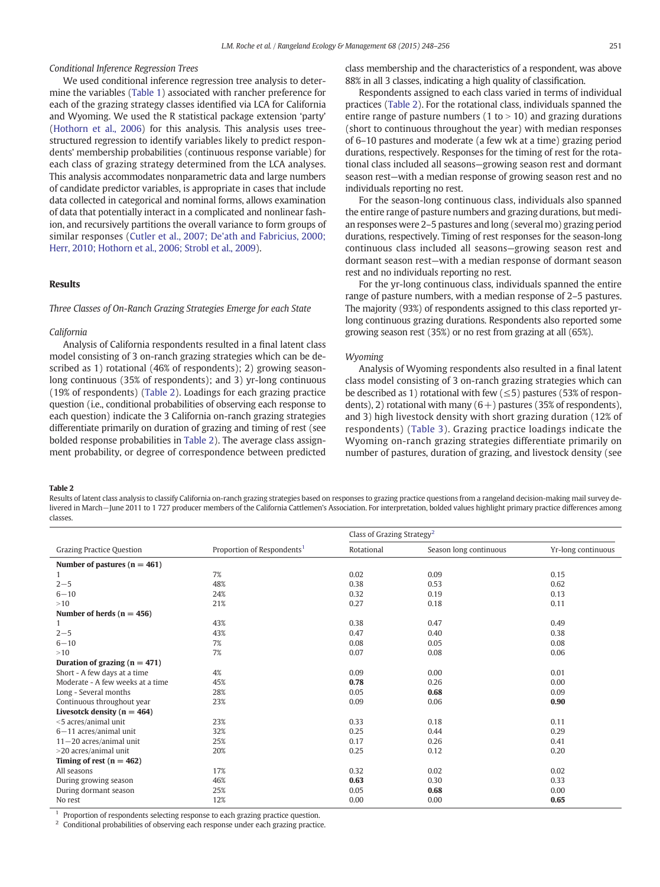# <span id="page-3-0"></span>Conditional Inference Regression Trees

We used conditional inference regression tree analysis to determine the variables [\(Table 1\)](#page-2-0) associated with rancher preference for each of the grazing strategy classes identified via LCA for California and Wyoming. We used the R statistical package extension 'party' ([Hothorn et al., 2006\)](#page-8-0) for this analysis. This analysis uses treestructured regression to identify variables likely to predict respondents' membership probabilities (continuous response variable) for each class of grazing strategy determined from the LCA analyses. This analysis accommodates nonparametric data and large numbers of candidate predictor variables, is appropriate in cases that include data collected in categorical and nominal forms, allows examination of data that potentially interact in a complicated and nonlinear fashion, and recursively partitions the overall variance to form groups of similar responses [\(Cutler et al., 2007; De'ath and Fabricius, 2000;](#page-8-0) [Herr, 2010; Hothorn et al., 2006; Strobl et al., 2009](#page-8-0)).

# Results

# Three Classes of On-Ranch Grazing Strategies Emerge for each State

#### California

Analysis of California respondents resulted in a final latent class model consisting of 3 on-ranch grazing strategies which can be described as 1) rotational (46% of respondents); 2) growing seasonlong continuous (35% of respondents); and 3) yr-long continuous (19% of respondents) (Table 2). Loadings for each grazing practice question (i.e., conditional probabilities of observing each response to each question) indicate the 3 California on-ranch grazing strategies differentiate primarily on duration of grazing and timing of rest (see bolded response probabilities in Table 2). The average class assignment probability, or degree of correspondence between predicted class membership and the characteristics of a respondent, was above 88% in all 3 classes, indicating a high quality of classification.

Respondents assigned to each class varied in terms of individual practices (Table 2). For the rotational class, individuals spanned the entire range of pasture numbers (1 to  $>$  10) and grazing durations (short to continuous throughout the year) with median responses of 6–10 pastures and moderate (a few wk at a time) grazing period durations, respectively. Responses for the timing of rest for the rotational class included all seasons—growing season rest and dormant season rest—with a median response of growing season rest and no individuals reporting no rest.

For the season-long continuous class, individuals also spanned the entire range of pasture numbers and grazing durations, but median responses were 2–5 pastures and long (several mo) grazing period durations, respectively. Timing of rest responses for the season-long continuous class included all seasons—growing season rest and dormant season rest—with a median response of dormant season rest and no individuals reporting no rest.

For the yr-long continuous class, individuals spanned the entire range of pasture numbers, with a median response of 2–5 pastures. The majority (93%) of respondents assigned to this class reported yrlong continuous grazing durations. Respondents also reported some growing season rest (35%) or no rest from grazing at all (65%).

#### Wyoming

Analysis of Wyoming respondents also resulted in a final latent class model consisting of 3 on-ranch grazing strategies which can be described as 1) rotational with few  $(\leq 5)$  pastures (53% of respondents), 2) rotational with many  $(6+)$  pastures (35% of respondents), and 3) high livestock density with short grazing duration (12% of respondents) [\(Table 3](#page-4-0)). Grazing practice loadings indicate the Wyoming on-ranch grazing strategies differentiate primarily on number of pastures, duration of grazing, and livestock density (see

Table 2

Results of latent class analysis to classify California on-ranch grazing strategies based on responses to grazing practice questions from a rangeland decision-making mail survey delivered in March−June 2011 to 1 727 producer members of the California Cattlemen's Association. For interpretation, bolded values highlight primary practice differences among classes.

|                                   |                                        | Class of Grazing Strategy <sup>2</sup> |                        |                    |
|-----------------------------------|----------------------------------------|----------------------------------------|------------------------|--------------------|
| <b>Grazing Practice Question</b>  | Proportion of Respondents <sup>1</sup> | Rotational                             | Season long continuous | Yr-long continuous |
| Number of pastures ( $n = 461$ )  |                                        |                                        |                        |                    |
| 1                                 | 7%                                     | 0.02                                   | 0.09                   | 0.15               |
| $2 - 5$                           | 48%                                    | 0.38                                   | 0.53                   | 0.62               |
| $6 - 10$                          | 24%                                    | 0.32                                   | 0.19                   | 0.13               |
| >10                               | 21%                                    | 0.27                                   | 0.18                   | 0.11               |
| Number of herds $(n = 456)$       |                                        |                                        |                        |                    |
| 1                                 | 43%                                    | 0.38                                   | 0.47                   | 0.49               |
| $2 - 5$                           | 43%                                    | 0.47                                   | 0.40                   | 0.38               |
| $6 - 10$                          | 7%                                     | 0.08                                   | 0.05                   | 0.08               |
| >10                               | 7%                                     | 0.07                                   | 0.08                   | 0.06               |
| Duration of grazing ( $n = 471$ ) |                                        |                                        |                        |                    |
| Short - A few days at a time      | 4%                                     | 0.09                                   | 0.00                   | 0.01               |
| Moderate - A few weeks at a time  | 45%                                    | 0.78                                   | 0.26                   | 0.00               |
| Long - Several months             | 28%                                    | 0.05                                   | 0.68                   | 0.09               |
| Continuous throughout year        | 23%                                    | 0.09                                   | 0.06                   | 0.90               |
| Livesotck density ( $n = 464$ )   |                                        |                                        |                        |                    |
| $<$ 5 acres/animal unit           | 23%                                    | 0.33                                   | 0.18                   | 0.11               |
| $6 - 11$ acres/animal unit        | 32%                                    | 0.25                                   | 0.44                   | 0.29               |
| $11 - 20$ acres/animal unit       | 25%                                    | 0.17                                   | 0.26                   | 0.41               |
| >20 acres/animal unit             | 20%                                    | 0.25                                   | 0.12                   | 0.20               |
| Timing of rest ( $n = 462$ )      |                                        |                                        |                        |                    |
| All seasons                       | 17%                                    | 0.32                                   | 0.02                   | 0.02               |
| During growing season             | 46%                                    | 0.63                                   | 0.30                   | 0.33               |
| During dormant season             | 25%                                    | 0.05                                   | 0.68                   | 0.00               |
| No rest                           | 12%                                    | 0.00                                   | 0.00                   | 0.65               |

Proportion of respondents selecting response to each grazing practice question.

<sup>2</sup> Conditional probabilities of observing each response under each grazing practice.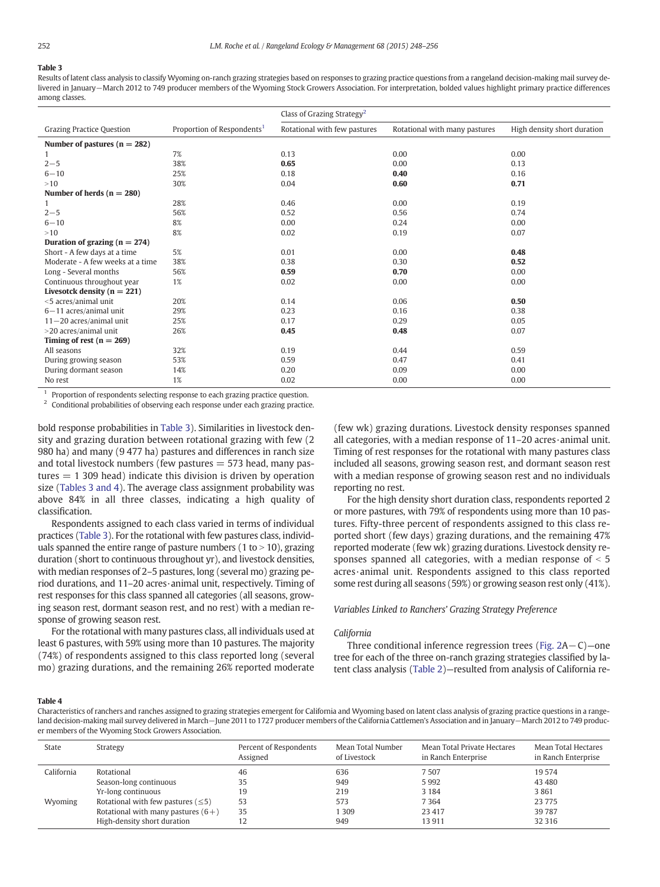# <span id="page-4-0"></span>Table 3

Results of latent class analysis to classify Wyoming on-ranch grazing strategies based on responses to grazing practice questions from a rangeland decision-making mail survey delivered in January−March 2012 to 749 producer members of the Wyoming Stock Growers Association. For interpretation, bolded values highlight primary practice differences among classes.

|                                   |                                        | Class of Grazing Strategy <sup>2</sup> |                               |                             |  |
|-----------------------------------|----------------------------------------|----------------------------------------|-------------------------------|-----------------------------|--|
| <b>Grazing Practice Question</b>  | Proportion of Respondents <sup>1</sup> | Rotational with few pastures           | Rotational with many pastures | High density short duration |  |
| Number of pastures $(n = 282)$    |                                        |                                        |                               |                             |  |
| 1                                 | 7%                                     | 0.13                                   | 0.00                          | 0.00                        |  |
| $2 - 5$                           | 38%                                    | 0.65                                   | 0.00                          | 0.13                        |  |
| $6 - 10$                          | 25%                                    | 0.18                                   | 0.40                          | 0.16                        |  |
| >10                               | 30%                                    | 0.04                                   | 0.60                          | 0.71                        |  |
| Number of herds $(n = 280)$       |                                        |                                        |                               |                             |  |
| 1                                 | 28%                                    | 0.46                                   | 0.00                          | 0.19                        |  |
| $2 - 5$                           | 56%                                    | 0.52                                   | 0.56                          | 0.74                        |  |
| $6 - 10$                          | 8%                                     | 0.00                                   | 0.24                          | 0.00                        |  |
| >10                               | 8%                                     | 0.02                                   | 0.19                          | 0.07                        |  |
| Duration of grazing ( $n = 274$ ) |                                        |                                        |                               |                             |  |
| Short - A few days at a time      | 5%                                     | 0.01                                   | 0.00                          | 0.48                        |  |
| Moderate - A few weeks at a time  | 38%                                    | 0.38                                   | 0.30                          | 0.52                        |  |
| Long - Several months             | 56%                                    | 0.59                                   | 0.70                          | 0.00                        |  |
| Continuous throughout year        | 1%                                     | 0.02                                   | 0.00                          | 0.00                        |  |
| Livesotck density ( $n = 221$ )   |                                        |                                        |                               |                             |  |
| <5 acres/animal unit              | 20%                                    | 0.14                                   | 0.06                          | 0.50                        |  |
| $6 - 11$ acres/animal unit        | 29%                                    | 0.23                                   | 0.16                          | 0.38                        |  |
| $11 - 20$ acres/animal unit       | 25%                                    | 0.17                                   | 0.29                          | 0.05                        |  |
| >20 acres/animal unit             | 26%                                    | 0.45                                   | 0.48                          | 0.07                        |  |
| Timing of rest ( $n = 269$ )      |                                        |                                        |                               |                             |  |
| All seasons                       | 32%                                    | 0.19                                   | 0.44                          | 0.59                        |  |
| During growing season             | 53%                                    | 0.59                                   | 0.47                          | 0.41                        |  |
| During dormant season             | 14%                                    | 0.20                                   | 0.09                          | 0.00                        |  |
| No rest                           | 1%                                     | 0.02                                   | 0.00                          | 0.00                        |  |

<sup>1</sup> Proportion of respondents selecting response to each grazing practice question.<br> $\frac{2}{3}$  Conditional probabilities of observing oach response under oach grazing practice

<sup>2</sup> Conditional probabilities of observing each response under each grazing practice.

bold response probabilities in Table 3). Similarities in livestock density and grazing duration between rotational grazing with few (2 980 ha) and many (9 477 ha) pastures and differences in ranch size and total livestock numbers (few pastures  $=$  573 head, many pastures  $= 1$  309 head) indicate this division is driven by operation size (Tables 3 and 4). The average class assignment probability was above 84% in all three classes, indicating a high quality of classification.

Respondents assigned to each class varied in terms of individual practices (Table 3). For the rotational with few pastures class, individuals spanned the entire range of pasture numbers (1 to  $>$  10), grazing duration (short to continuous throughout yr), and livestock densities, with median responses of 2–5 pastures, long (several mo) grazing period durations, and 11–20 acres·animal unit, respectively. Timing of rest responses for this class spanned all categories (all seasons, growing season rest, dormant season rest, and no rest) with a median response of growing season rest.

For the rotational with many pastures class, all individuals used at least 6 pastures, with 59% using more than 10 pastures. The majority (74%) of respondents assigned to this class reported long (several mo) grazing durations, and the remaining 26% reported moderate

(few wk) grazing durations. Livestock density responses spanned all categories, with a median response of 11–20 acres·animal unit. Timing of rest responses for the rotational with many pastures class included all seasons, growing season rest, and dormant season rest with a median response of growing season rest and no individuals reporting no rest.

For the high density short duration class, respondents reported 2 or more pastures, with 79% of respondents using more than 10 pastures. Fifty-three percent of respondents assigned to this class reported short (few days) grazing durations, and the remaining 47% reported moderate (few wk) grazing durations. Livestock density responses spanned all categories, with a median response of  $<$  5 acres·animal unit. Respondents assigned to this class reported some rest during all seasons (59%) or growing season rest only (41%).

# Variables Linked to Ranchers' Grazing Strategy Preference

### California

Three conditional inference regression trees [\(Fig. 2A](#page-5-0)−C)—one tree for each of the three on-ranch grazing strategies classified by latent class analysis ([Table 2](#page-3-0))—resulted from analysis of California re-

# Table 4

Characteristics of ranchers and ranches assigned to grazing strategies emergent for California and Wyoming based on latent class analysis of grazing practice questions in a rangeland decision-making mail survey delivered in March−June 2011 to 1727 producer members of the California Cattlemen's Association and in January−March 2012 to 749 producer members of the Wyoming Stock Growers Association.

| State      | Strategy                                | Percent of Respondents<br>Assigned | Mean Total Number<br>of Livestock | Mean Total Private Hectares<br>in Ranch Enterprise | Mean Total Hectares<br>in Ranch Enterprise |
|------------|-----------------------------------------|------------------------------------|-----------------------------------|----------------------------------------------------|--------------------------------------------|
| California | Rotational                              | 46                                 | 636                               | 7507                                               | 19 574                                     |
|            | Season-long continuous                  | 35                                 | 949                               | 5992                                               | 43 480                                     |
|            | Yr-long continuous                      | 19                                 | 219                               | 3 1 8 4                                            | 3861                                       |
| Wyoming    | Rotational with few pastures $(\leq 5)$ | 53                                 | 573                               | 7364                                               | 23 775                                     |
|            | Rotational with many pastures $(6+)$    | 35                                 | 1 3 0 9                           | 23 417                                             | 39 787                                     |
|            | High-density short duration             |                                    | 949                               | 13911                                              | 32 3 16                                    |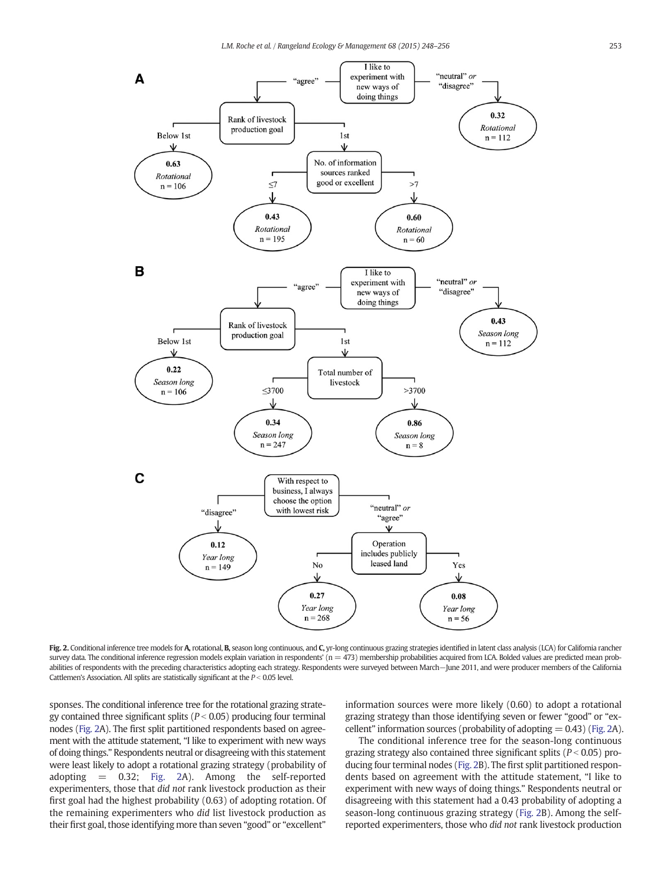<span id="page-5-0"></span>

Fig. 2. Conditional inference tree models for A, rotational, B, season long continuous, and C, yr-long continuous grazing strategies identified in latent class analysis (LCA) for California rancher survey data. The conditional inference regression models explain variation in respondents'  $(n = 473)$  membership probabilities acquired from LCA. Bolded values are predicted mean probabilities of respondents with the preceding characteristics adopting each strategy. Respondents were surveyed between March−June 2011, and were producer members of the California Cattlemen's Association. All splits are statistically significant at the  $P < 0.05$  level.

sponses. The conditional inference tree for the rotational grazing strategy contained three significant splits ( $P < 0.05$ ) producing four terminal nodes (Fig. 2A). The first split partitioned respondents based on agreement with the attitude statement, "I like to experiment with new ways of doing things." Respondents neutral or disagreeing with this statement were least likely to adopt a rotational grazing strategy (probability of adopting = 0.32; Fig. 2A). Among the self-reported experimenters, those that did not rank livestock production as their first goal had the highest probability (0.63) of adopting rotation. Of the remaining experimenters who did list livestock production as their first goal, those identifying more than seven "good" or "excellent"

information sources were more likely (0.60) to adopt a rotational grazing strategy than those identifying seven or fewer "good" or "excellent" information sources (probability of adopting  $= 0.43$ ) (Fig. 2A).

The conditional inference tree for the season-long continuous grazing strategy also contained three significant splits ( $P < 0.05$ ) producing four terminal nodes (Fig. 2B). The first split partitioned respondents based on agreement with the attitude statement, "I like to experiment with new ways of doing things." Respondents neutral or disagreeing with this statement had a 0.43 probability of adopting a season-long continuous grazing strategy (Fig. 2B). Among the selfreported experimenters, those who did not rank livestock production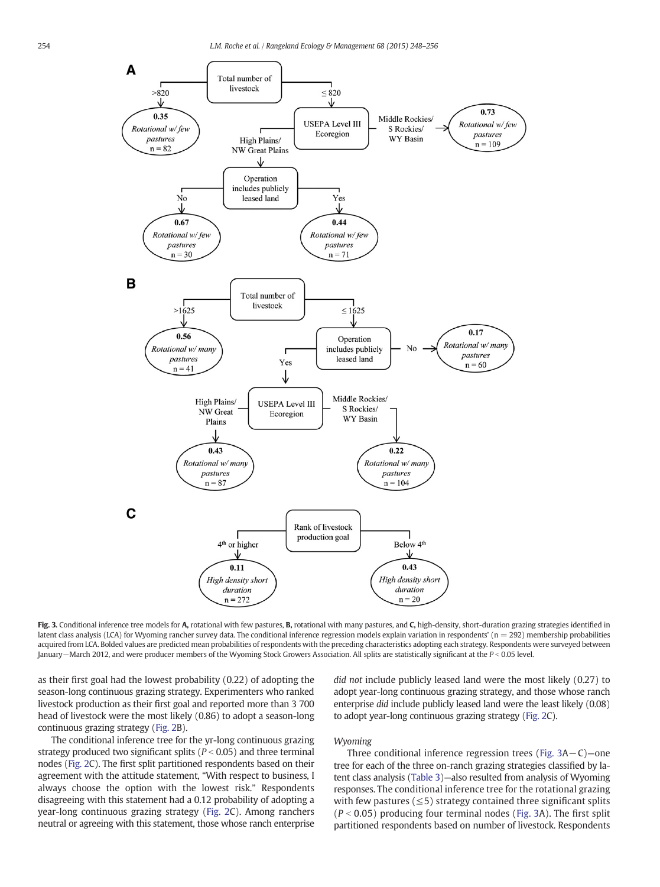<span id="page-6-0"></span>

Fig. 3. Conditional inference tree models for A, rotational with few pastures, B, rotational with many pastures, and C, high-density, short-duration grazing strategies identified in latent class analysis (LCA) for Wyoming rancher survey data. The conditional inference regression models explain variation in respondents' (n = 292) membership probabilities acquired from LCA. Bolded values are predicted mean probabilities of respondents with the preceding characteristics adopting each strategy. Respondents were surveyed between January−March 2012, and were producer members of the Wyoming Stock Growers Association. All splits are statistically significant at the P < 0.05 level.

as their first goal had the lowest probability (0.22) of adopting the season-long continuous grazing strategy. Experimenters who ranked livestock production as their first goal and reported more than 3 700 head of livestock were the most likely (0.86) to adopt a season-long continuous grazing strategy ([Fig. 2](#page-5-0)B).

The conditional inference tree for the yr-long continuous grazing strategy produced two significant splits ( $P < 0.05$ ) and three terminal nodes [\(Fig. 2C](#page-5-0)). The first split partitioned respondents based on their agreement with the attitude statement, "With respect to business, I always choose the option with the lowest risk." Respondents disagreeing with this statement had a 0.12 probability of adopting a year-long continuous grazing strategy [\(Fig. 2C](#page-5-0)). Among ranchers neutral or agreeing with this statement, those whose ranch enterprise

did not include publicly leased land were the most likely (0.27) to adopt year-long continuous grazing strategy, and those whose ranch enterprise did include publicly leased land were the least likely (0.08) to adopt year-long continuous grazing strategy [\(Fig. 2](#page-5-0)C).

# Wyoming

Three conditional inference regression trees (Fig. 3A−C)—one tree for each of the three on-ranch grazing strategies classified by latent class analysis [\(Table 3](#page-4-0))—also resulted from analysis of Wyoming responses. The conditional inference tree for the rotational grazing with few pastures ( $\leq$ 5) strategy contained three significant splits  $(P < 0.05)$  producing four terminal nodes (Fig. 3A). The first split partitioned respondents based on number of livestock. Respondents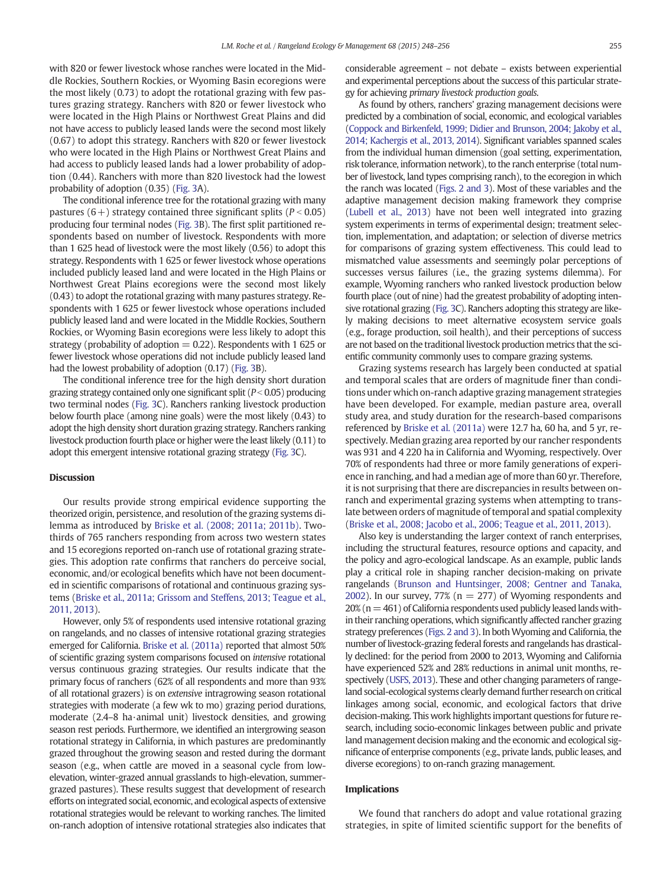with 820 or fewer livestock whose ranches were located in the Middle Rockies, Southern Rockies, or Wyoming Basin ecoregions were the most likely (0.73) to adopt the rotational grazing with few pastures grazing strategy. Ranchers with 820 or fewer livestock who were located in the High Plains or Northwest Great Plains and did not have access to publicly leased lands were the second most likely (0.67) to adopt this strategy. Ranchers with 820 or fewer livestock who were located in the High Plains or Northwest Great Plains and had access to publicly leased lands had a lower probability of adoption (0.44). Ranchers with more than 820 livestock had the lowest probability of adoption (0.35) ([Fig. 3](#page-6-0)A).

The conditional inference tree for the rotational grazing with many pastures  $(6+)$  strategy contained three significant splits  $(P < 0.05)$ producing four terminal nodes [\(Fig. 3B](#page-6-0)). The first split partitioned respondents based on number of livestock. Respondents with more than 1 625 head of livestock were the most likely (0.56) to adopt this strategy. Respondents with 1 625 or fewer livestock whose operations included publicly leased land and were located in the High Plains or Northwest Great Plains ecoregions were the second most likely (0.43) to adopt the rotational grazing with many pastures strategy. Respondents with 1 625 or fewer livestock whose operations included publicly leased land and were located in the Middle Rockies, Southern Rockies, or Wyoming Basin ecoregions were less likely to adopt this strategy (probability of adoption  $= 0.22$ ). Respondents with 1 625 or fewer livestock whose operations did not include publicly leased land had the lowest probability of adoption (0.17) [\(Fig. 3](#page-6-0)B).

The conditional inference tree for the high density short duration grazing strategy contained only one significant split ( $P < 0.05$ ) producing two terminal nodes [\(Fig. 3C](#page-6-0)). Ranchers ranking livestock production below fourth place (among nine goals) were the most likely (0.43) to adopt the high density short duration grazing strategy. Ranchers ranking livestock production fourth place or higher were the least likely (0.11) to adopt this emergent intensive rotational grazing strategy [\(Fig. 3](#page-6-0)C).

## Discussion

Our results provide strong empirical evidence supporting the theorized origin, persistence, and resolution of the grazing systems dilemma as introduced by [Briske et al. \(2008; 2011a; 2011b\)](#page-8-0). Twothirds of 765 ranchers responding from across two western states and 15 ecoregions reported on-ranch use of rotational grazing strategies. This adoption rate confirms that ranchers do perceive social, economic, and/or ecological benefits which have not been documented in scientific comparisons of rotational and continuous grazing systems [\(Briske et al., 2011a; Grissom and Steffens, 2013; Teague et al.,](#page-8-0) [2011, 2013](#page-8-0)).

However, only 5% of respondents used intensive rotational grazing on rangelands, and no classes of intensive rotational grazing strategies emerged for California. [Briske et al. \(2011a\)](#page-8-0) reported that almost 50% of scientific grazing system comparisons focused on intensive rotational versus continuous grazing strategies. Our results indicate that the primary focus of ranchers (62% of all respondents and more than 93% of all rotational grazers) is on extensive intragrowing season rotational strategies with moderate (a few wk to mo) grazing period durations, moderate (2.4–8 ha·animal unit) livestock densities, and growing season rest periods. Furthermore, we identified an intergrowing season rotational strategy in California, in which pastures are predominantly grazed throughout the growing season and rested during the dormant season (e.g., when cattle are moved in a seasonal cycle from lowelevation, winter-grazed annual grasslands to high-elevation, summergrazed pastures). These results suggest that development of research efforts on integrated social, economic, and ecological aspects of extensive rotational strategies would be relevant to working ranches. The limited on-ranch adoption of intensive rotational strategies also indicates that considerable agreement – not debate – exists between experiential and experimental perceptions about the success of this particular strategy for achieving primary livestock production goals.

As found by others, ranchers' grazing management decisions were predicted by a combination of social, economic, and ecological variables [\(Coppock and Birkenfeld, 1999; Didier](#page-8-0) and Brunson, 2004; Jakoby et al., [2014; Kachergis et al., 2013, 2014\)](#page-8-0). Significant variables spanned scales from the individual human dimension (goal setting, experimentation, risk tolerance, information network), to the ranch enterprise (total number of livestock, land types comprising ranch), to the ecoregion in which the ranch was located [\(Figs. 2 and 3\)](#page-5-0). Most of these variables and the adaptive management decision making framework they comprise [\(Lubell et al., 2013\)](#page-8-0) have not been well integrated into grazing system experiments in terms of experimental design; treatment selection, implementation, and adaptation; or selection of diverse metrics for comparisons of grazing system effectiveness. This could lead to mismatched value assessments and seemingly polar perceptions of successes versus failures (i.e., the grazing systems dilemma). For example, Wyoming ranchers who ranked livestock production below fourth place (out of nine) had the greatest probability of adopting intensive rotational grazing [\(Fig. 3C](#page-6-0)). Ranchers adopting this strategy are likely making decisions to meet alternative ecosystem service goals (e.g., forage production, soil health), and their perceptions of success are not based on the traditional livestock production metrics that the scientific community commonly uses to compare grazing systems.

Grazing systems research has largely been conducted at spatial and temporal scales that are orders of magnitude finer than conditions under which on-ranch adaptive grazing management strategies have been developed. For example, median pasture area, overall study area, and study duration for the research-based comparisons referenced by [Briske et al. \(2011a\)](#page-8-0) were 12.7 ha, 60 ha, and 5 yr, respectively. Median grazing area reported by our rancher respondents was 931 and 4 220 ha in California and Wyoming, respectively. Over 70% of respondents had three or more family generations of experience in ranching, and had a median age of more than 60 yr. Therefore, it is not surprising that there are discrepancies in results between onranch and experimental grazing systems when attempting to translate between orders of magnitude of temporal and spatial complexity [\(Briske et al., 2008; Jacobo et al., 2006; Teague et al., 2011, 2013](#page-8-0)).

Also key is understanding the larger context of ranch enterprises, including the structural features, resource options and capacity, and the policy and agro-ecological landscape. As an example, public lands play a critical role in shaping rancher decision-making on private rangelands [\(Brunson and Huntsinger, 2008; Gentner and Tanaka,](#page-8-0) [2002](#page-8-0)). In our survey, 77% ( $n = 277$ ) of Wyoming respondents and  $20\%$  (n = 461) of California respondents used publicly leased lands within their ranching operations, which significantly affected rancher grazing strategy preferences [\(Figs. 2 and 3\)](#page-5-0). In both Wyoming and California, the number of livestock-grazing federal forests and rangelands has drastically declined: for the period from 2000 to 2013, Wyoming and California have experienced 52% and 28% reductions in animal unit months, respectively [\(USFS, 2013](#page-8-0)). These and other changing parameters of rangeland social-ecological systems clearly demand further research on critical linkages among social, economic, and ecological factors that drive decision-making. This work highlights important questions for future research, including socio-economic linkages between public and private land management decision making and the economic and ecological significance of enterprise components (e.g., private lands, public leases, and diverse ecoregions) to on-ranch grazing management.

# Implications

We found that ranchers do adopt and value rotational grazing strategies, in spite of limited scientific support for the benefits of